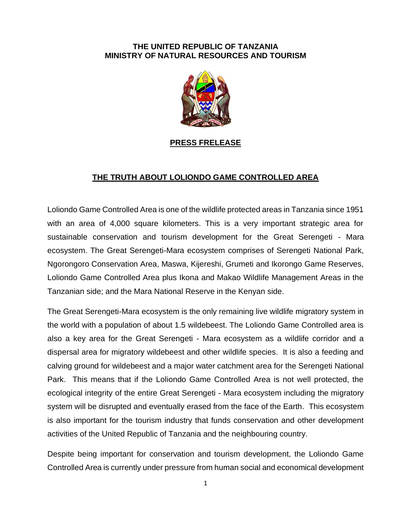## **THE UNITED REPUBLIC OF TANZANIA MINISTRY OF NATURAL RESOURCES AND TOURISM**



## **PRESS FRELEASE**

## **THE TRUTH ABOUT LOLIONDO GAME CONTROLLED AREA**

Loliondo Game Controlled Area is one of the wildlife protected areas in Tanzania since 1951 with an area of 4,000 square kilometers. This is a very important strategic area for sustainable conservation and tourism development for the Great Serengeti - Mara ecosystem. The Great Serengeti-Mara ecosystem comprises of Serengeti National Park, Ngorongoro Conservation Area, Maswa, Kijereshi, Grumeti and Ikorongo Game Reserves, Loliondo Game Controlled Area plus Ikona and Makao Wildlife Management Areas in the Tanzanian side; and the Mara National Reserve in the Kenyan side.

The Great Serengeti-Mara ecosystem is the only remaining live wildlife migratory system in the world with a population of about 1.5 wildebeest. The Loliondo Game Controlled area is also a key area for the Great Serengeti - Mara ecosystem as a wildlife corridor and a dispersal area for migratory wildebeest and other wildlife species. It is also a feeding and calving ground for wildebeest and a major water catchment area for the Serengeti National Park. This means that if the Loliondo Game Controlled Area is not well protected, the ecological integrity of the entire Great Serengeti - Mara ecosystem including the migratory system will be disrupted and eventually erased from the face of the Earth. This ecosystem is also important for the tourism industry that funds conservation and other development activities of the United Republic of Tanzania and the neighbouring country.

Despite being important for conservation and tourism development, the Loliondo Game Controlled Area is currently under pressure from human social and economical development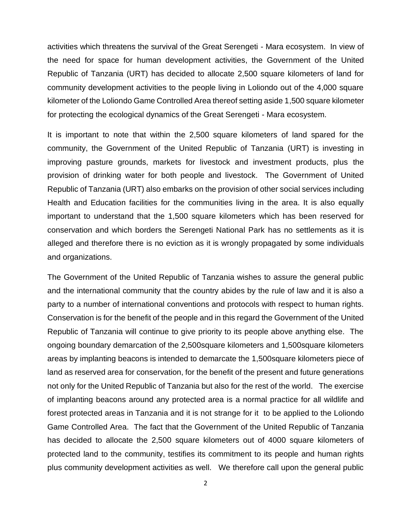activities which threatens the survival of the Great Serengeti - Mara ecosystem. In view of the need for space for human development activities, the Government of the United Republic of Tanzania (URT) has decided to allocate 2,500 square kilometers of land for community development activities to the people living in Loliondo out of the 4,000 square kilometer of the Loliondo Game Controlled Area thereof setting aside 1,500 square kilometer for protecting the ecological dynamics of the Great Serengeti - Mara ecosystem.

It is important to note that within the 2,500 square kilometers of land spared for the community, the Government of the United Republic of Tanzania (URT) is investing in improving pasture grounds, markets for livestock and investment products, plus the provision of drinking water for both people and livestock. The Government of United Republic of Tanzania (URT) also embarks on the provision of other social services including Health and Education facilities for the communities living in the area. It is also equally important to understand that the 1,500 square kilometers which has been reserved for conservation and which borders the Serengeti National Park has no settlements as it is alleged and therefore there is no eviction as it is wrongly propagated by some individuals and organizations.

The Government of the United Republic of Tanzania wishes to assure the general public and the international community that the country abides by the rule of law and it is also a party to a number of international conventions and protocols with respect to human rights. Conservation is for the benefit of the people and in this regard the Government of the United Republic of Tanzania will continue to give priority to its people above anything else. The ongoing boundary demarcation of the 2,500square kilometers and 1,500square kilometers areas by implanting beacons is intended to demarcate the 1,500square kilometers piece of land as reserved area for conservation, for the benefit of the present and future generations not only for the United Republic of Tanzania but also for the rest of the world. The exercise of implanting beacons around any protected area is a normal practice for all wildlife and forest protected areas in Tanzania and it is not strange for it to be applied to the Loliondo Game Controlled Area. The fact that the Government of the United Republic of Tanzania has decided to allocate the 2,500 square kilometers out of 4000 square kilometers of protected land to the community, testifies its commitment to its people and human rights plus community development activities as well. We therefore call upon the general public